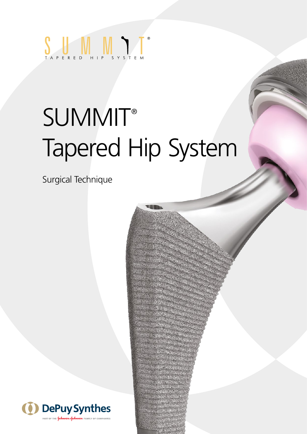

# **SUMMIT®** Tapered Hip System

Surgical Technique

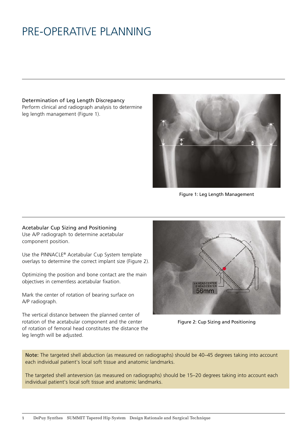# PRE-OPERATIVE PLANNING

Determination of Leg Length Discrepancy Perform clinical and radiograph analysis to determine leg length management (Figure 1).



Figure 1: Leg Length Management

#### Acetabular Cup Sizing and Positioning

Use A/P radiograph to determine acetabular component position.

Use the PINNACLE® Acetabular Cup System template overlays to determine the correct implant size (Figure 2).

Optimizing the position and bone contact are the main objectives in cementless acetabular fixation.

Mark the center of rotation of bearing surface on A/P radiograph.

The vertical distance between the planned center of rotation of the acetabular component and the center of rotation of femoral head constitutes the distance the leg length will be adjusted.



Figure 2: Cup Sizing and Positioning

Note: The targeted shell abduction (as measured on radiographs) should be 40–45 degrees taking into account each individual patient's local soft tissue and anatomic landmarks.

The targeted shell anteversion (as measured on radiographs) should be 15–20 degrees taking into account each individual patient's local soft tissue and anatomic landmarks.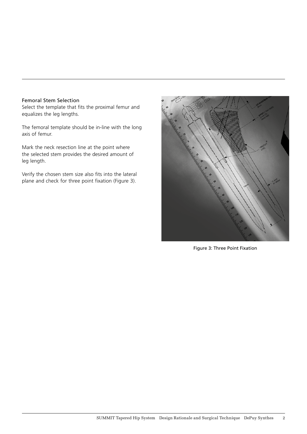### Femoral Stem Selection

Select the template that fits the proximal femur and equalizes the leg lengths.

The femoral template should be in-line with the long axis of femur.

Mark the neck resection line at the point where the selected stem provides the desired amount of leg length.

Verify the chosen stem size also fits into the lateral plane and check for three point fixation (Figure 3).



Figure 3: Three Point Fixation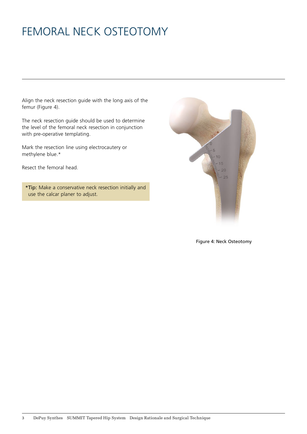# FEMORAL NECK OSTEOTOMY

Align the neck resection guide with the long axis of the femur (Figure 4).

The neck resection guide should be used to determine the level of the femoral neck resection in conjunction with pre-operative templating.

Mark the resection line using electrocautery or methylene blue.\*

Resect the femoral head.

\*Tip: Make a conservative neck resection initially and use the calcar planer to adjust.



Figure 4: Neck Osteotomy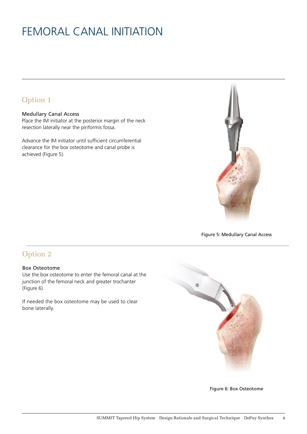# FEMORAL CANAL INITIATION

### Option 1

### Medullary Canal Access

Place the IM initiator at the posterior margin of the neck resection laterally near the piriformis fossa.

Advance the IM initiator until sufficient circumferential clearance for the box osteotome and canal probe is achieved (Figure 5).



Figure 5: Medullary Canal Access

### Option 2

#### Box Osteotome

Use the box osteotome to enter the femoral canal at the junction of the femoral neck and greater trochanter (Figure 6).

If needed the box osteotome may be used to clear bone laterally.



Figure 6: Box Osteotome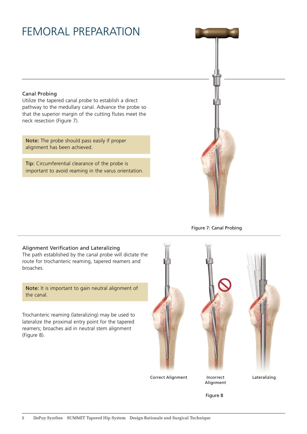### FEMORAL PREPARATION

### Canal Probing

Utilize the tapered canal probe to establish a direct pathway to the medullary canal. Advance the probe so that the superior margin of the cutting flutes meet the neck resection (Figure 7).

Note: The probe should pass easily if proper alignment has been achieved.

Tip: Circumferential clearance of the probe is important to avoid reaming in the varus orientation.



Figure 7: Canal Probing

### Alignment Verification and Lateralizing

The path established by the canal probe will dictate the route for trochanteric reaming, tapered reamers and broaches.

Note: It is important to gain neutral alignment of the canal.

Trochanteric reaming (lateralizing) may be used to lateralize the proximal entry point for the tapered reamers; broaches aid in neutral stem alignment (Figure 8).

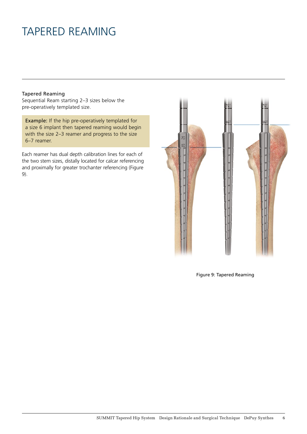### TAPERED REAMING

#### Tapered Reaming

Sequential Ream starting 2–3 sizes below the pre-operatively templated size.

Example: If the hip pre-operatively templated for a size 6 implant then tapered reaming would begin with the size 2–3 reamer and progress to the size 6–7 reamer.

Each reamer has dual depth calibration lines for each of the two stem sizes, distally located for calcar referencing and proximally for greater trochanter referencing (Figure 9).



Figure 9: Tapered Reaming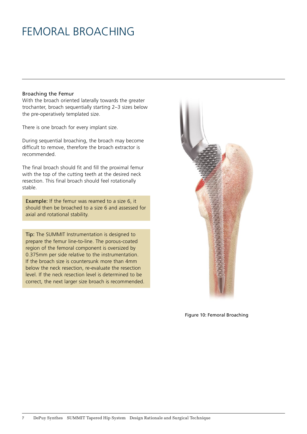### FEMORAL BROACHING

#### Broaching the Femur

With the broach oriented laterally towards the greater trochanter, broach sequentially starting 2–3 sizes below the pre-operatively templated size.

There is one broach for every implant size.

During sequential broaching, the broach may become difficult to remove, therefore the broach extractor is recommended.

The final broach should fit and fill the proximal femur with the top of the cutting teeth at the desired neck resection. This final broach should feel rotationally stable.

Example: If the femur was reamed to a size 6, it should then be broached to a size 6 and assessed for axial and rotational stability.

Tip: The SUMMIT Instrumentation is designed to prepare the femur line-to-line. The porous-coated region of the femoral component is oversized by 0.375mm per side relative to the instrumentation. If the broach size is countersunk more than 4mm below the neck resection, re-evaluate the resection level. If the neck resection level is determined to be correct, the next larger size broach is recommended.



Figure 10: Femoral Broaching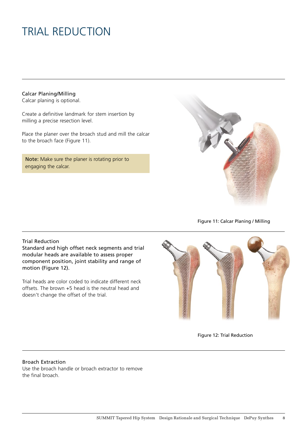# TRIAL REDUCTION

Calcar Planing/Milling

Calcar planing is optional.

Create a definitive landmark for stem insertion by milling a precise resection level.

Place the planer over the broach stud and mill the calcar to the broach face (Figure 11).

Note: Make sure the planer is rotating prior to engaging the calcar.



Figure 11: Calcar Planing / Milling

### Trial Reduction

Standard and high offset neck segments and trial modular heads are available to assess proper component position, joint stability and range of motion (Figure 12).

Trial heads are color coded to indicate different neck offsets. The brown +5 head is the neutral head and doesn't change the offset of the trial.





#### Broach Extraction

Use the broach handle or broach extractor to remove the final broach.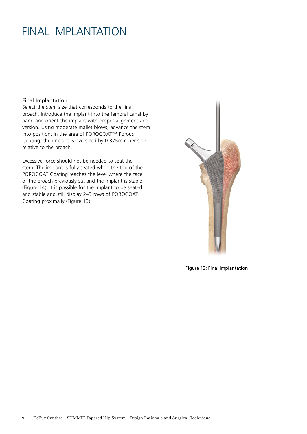### FINAL IMPLANTATION

### Final Implantation

Select the stem size that corresponds to the final broach. Introduce the implant into the femoral canal by hand and orient the implant with proper alignment and version. Using moderate mallet blows, advance the stem into position. In the area of POROCOAT™ Porous Coating, the implant is oversized by 0.375mm per side relative to the broach.

Excessive force should not be needed to seat the stem. The implant is fully seated when the top of the POROCOAT Coating reaches the level where the face of the broach previously sat and the implant is stable (Figure 14). It is possible for the implant to be seated and stable and still display 2–3 rows of POROCOAT Coating proximally (Figure 13).



Figure 13: Final Implantation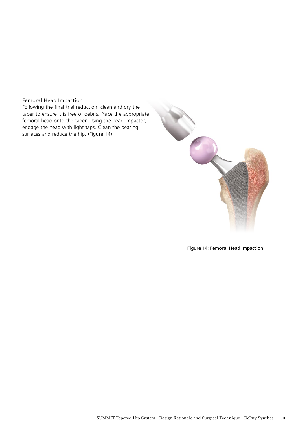### Femoral Head Impaction

Following the final trial reduction, clean and dry the taper to ensure it is free of debris. Place the appropriate femoral head onto the taper. Using the head impactor, engage the head with light taps. Clean the bearing surfaces and reduce the hip. (Figure 14).



Figure 14: Femoral Head Impaction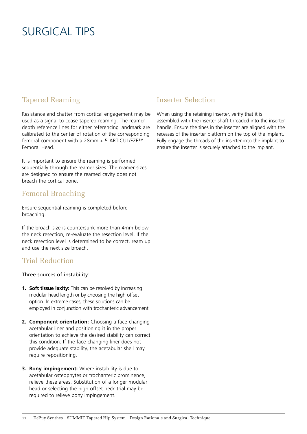### SURGICAL TIPS

### Tapered Reaming

Resistance and chatter from cortical engagement may be used as a signal to cease tapered reaming. The reamer depth reference lines for either referencing landmark are calibrated to the center of rotation of the corresponding femoral component with a 28mm + 5 ARTICUL/EZE™ Femoral Head.

It is important to ensure the reaming is performed sequentially through the reamer sizes. The reamer sizes are designed to ensure the reamed cavity does not breach the cortical bone.

### Femoral Broaching

Ensure sequential reaming is completed before broaching.

If the broach size is countersunk more than 4mm below the neck resection, re-evaluate the resection level. If the neck resection level is determined to be correct, ream up and use the next size broach.

### Trial Reduction

Three sources of instability:

- **1. Soft tissue laxity:** This can be resolved by increasing modular head length or by choosing the high offset option. In extreme cases, these solutions can be employed in conjunction with trochanteric advancement.
- **2. Component orientation:** Choosing a face-changing acetabular liner and positioning it in the proper orientation to achieve the desired stability can correct this condition. If the face-changing liner does not provide adequate stability, the acetabular shell may require repositioning.
- **3. Bony impingement:** Where instability is due to acetabular osteophytes or trochanteric prominence, relieve these areas. Substitution of a longer modular head or selecting the high offset neck trial may be required to relieve bony impingement.

### Inserter Selection

When using the retaining inserter, verify that it is assembled with the inserter shaft threaded into the inserter handle. Ensure the tines in the inserter are aligned with the recesses of the inserter platform on the top of the implant. Fully engage the threads of the inserter into the implant to ensure the inserter is securely attached to the implant.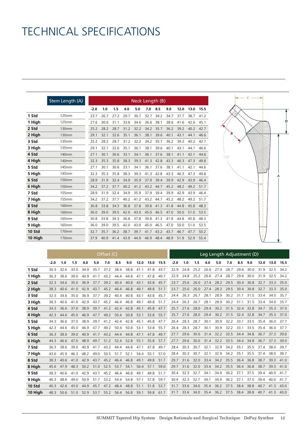# TECHNICAL SPECIFICATIONS

|               | Stem Length (A) |        |      |      |      | Neck Length (B) |      |      |      |      |      |      |
|---------------|-----------------|--------|------|------|------|-----------------|------|------|------|------|------|------|
|               |                 | $-2.0$ | 1.0  | 1.5  | 4.0  | 5.0             | 7.0  | 8.5  | 9.0  | 12.0 | 13.0 | 15.5 |
| 1 Std         | 125mm           | 23.7   | 26.7 | 27.2 | 29.7 | 30.7            | 32.7 | 34.2 | 34.7 | 37.7 | 38.7 | 41.2 |
| 1 High        | 125mm           | 27.6   | 30.6 | 31.1 | 33.6 | 34.6            | 36.6 | 38.1 | 38.6 | 41.6 | 42.6 | 45.1 |
| 2 Std         | <b>130mm</b>    | 25.2   | 28.2 | 28.7 | 31.2 | 32.2            | 34.2 | 35.7 | 36.2 | 39.2 | 40.2 | 42.7 |
| 2 High        | 130mm           | 29.1   | 32.1 | 32.6 | 35.1 | 36.1            | 38.1 | 39.6 | 40.1 | 43.1 | 44.1 | 46.6 |
| 3 Std         | 135mm           | 25.2   | 28.2 | 28.7 | 31.2 | 32.2            | 34.2 | 35.7 | 36.2 | 39.2 | 40.2 | 42.7 |
| 3 High        | 135mm           | 29.1   | 32.1 | 32.6 | 35.1 | 36.1            | 38.1 | 39.6 | 40.1 | 43.1 | 44.1 | 46.6 |
| 4 Std         | 140mm           | 27.1   | 30.1 | 30.6 | 33.1 | 34.1            | 36.1 | 37.6 | 38.1 | 41.1 | 42.1 | 44.6 |
| 4 High        | 140mm           | 32.3   | 35.3 | 35.8 | 38.3 | 39.3            | 41.3 | 42.8 | 43.3 | 46.3 | 47.3 | 49.8 |
| 5 Std         | 145mm           | 27.1   | 30.1 | 30.6 | 33.1 | 34.1            | 36.1 | 37.6 | 38.1 | 41.1 | 42.1 | 44.6 |
| 5 High        | 145mm           | 32.3   | 35.3 | 35.8 | 38.3 | 39.3            | 41.3 | 42.8 | 43.3 | 46.3 | 47.3 | 49.8 |
| 6 Std         | <b>150mm</b>    | 28.9   | 31.9 | 32.4 | 34.9 | 35.9            | 37.9 | 39.4 | 39.9 | 42.9 | 43.9 | 46.4 |
| 6 High        | 150mm           | 34.2   | 37.2 | 37.7 | 40.2 | 41.2            | 43.2 | 44.7 | 45.2 | 48.2 | 49.2 | 51.7 |
| 7 Std         | <b>155mm</b>    | 28.9   | 31.9 | 32.4 | 34.9 | 35.9            | 37.9 | 39.4 | 39.9 | 42.9 | 43.9 | 46.4 |
| 7 High        | <b>155mm</b>    | 34.2   | 37.2 | 37.7 | 40.2 | 41.2            | 43.2 | 44.7 | 45.2 | 48.2 | 49.2 | 51.7 |
| 8 Std         | <b>160mm</b>    | 30.8   | 33.8 | 34.3 | 36.8 | 37.8            | 39.8 | 41.3 | 41.8 | 44.8 | 45.8 | 48.3 |
| 8 High        | <b>160mm</b>    | 36.0   | 39.0 | 39.5 | 42.0 | 43.0            | 45.0 | 46.5 | 47.0 | 50.0 | 51.0 | 53.5 |
| 9 Std         | 165mm           | 30.8   | 33.8 | 34.3 | 36.8 | 37.8            | 39.8 | 41.3 | 41.8 | 44.8 | 45.8 | 48.3 |
| 9 High        | 165mm           | 36.0   | 39.0 | 39.5 | 42.0 | 43.0            | 45.0 | 46.5 | 47.0 | 50.0 | 51.0 | 53.5 |
| <b>10 Std</b> | 170mm           | 32.7   | 35.7 | 36.2 | 38.7 | 39.7            | 41.7 | 43.2 | 43.7 | 46.7 | 47.7 | 50.2 |
| 10 High       | 170mm           | 37.9   | 40.9 | 41.4 | 43.9 | 44.9            | 46.9 | 48.4 | 48.9 | 51.9 | 52.9 | 55.4 |



|         | Offset (C) |      |      |      |      |      |      |      | Leg Length Adjustment (D) |      |      |        |      |      |      |           |      |           |      |      |      |      |
|---------|------------|------|------|------|------|------|------|------|---------------------------|------|------|--------|------|------|------|-----------|------|-----------|------|------|------|------|
|         | $-2.0$     | 1.0  | 1.5  | 4.0  | 5.0  | 7.0  | 8.5  | 9.0  | 12.0                      | 13.0 | 15.5 | $-2.0$ | 1.0  | 1.5  | 4.0  | 5.0       | 7.0  | 8.5       | 9.0  | 12.0 | 13.0 | 15.5 |
| 1 Std   | 30.3       | 32.6 | 33.0 | 34.9 | 35.7 | 37.2 | 38.4 | 38.8 | 41.1                      | 41.8 | 43.7 | 22.9   | 24.8 | 25.2 | 26.6 | 27.4      | 28.7 | 29.6      | 30.0 | 31.9 | 32.5 | 34.2 |
| 1 High  | 36.3       | 38.6 | 39.0 | 40.9 | 41.7 | 43.2 | 44.4 | 44.8 | 47.1                      | 47.8 | 49.7 | 22.9   | 24.8 | 25.2 | 26.6 | 27.4      | 28.7 | 29.6      | 30.0 | 31.9 | 32.5 | 34.2 |
| 2 Std   | 32.3       | 34.6 | 35.0 | 36.9 | 37.7 | 39.2 | 40.4 | 40.8 | 43.1                      | 43.8 | 45.7 | 23.7   | 25.6 | 26.0 | 27.4 | 28.2 29.5 |      | 30.4 30.8 |      | 32.7 | 33.3 | 35.0 |
| 2 High  | 38.3       | 40.6 | 41.0 | 42.9 | 43.7 | 45.2 | 46.4 | 46.8 | 49.1                      | 49.8 | 51.7 | 23.7   | 25.6 | 26.0 | 27.4 | 28.2      | 29.5 | 30.4      | 30.8 | 32.7 | 33.3 | 35.0 |
| 3 Std   | 32.3       | 34.6 | 35.0 | 36.9 | 37.7 | 39.2 | 40.4 | 40.8 | 43.1                      | 43.8 | 45.7 | 24.4   | 26.3 | 26.7 | 28.1 | 28.9      | 30.2 | 31.1      | 31.5 | 33.4 | 34.0 | 35.7 |
| 3 High  | 38.3       | 40.6 | 41.0 | 42.9 | 43.7 | 45.2 | 46.4 | 46.8 | 49.1                      | 49.8 | 51.7 | 24.4   | 26.3 | 26.7 | 28.1 | 28.9      | 30.2 | 31.1      | 31.5 | 33.4 | 34.0 | 35.7 |
| 4 Std   | 34.3       | 36.6 | 37.0 | 38.9 | 39.7 | 41.2 | 42.4 | 42.8 | 45.1                      | 45.8 | 47.7 | 25.7   | 27.6 | 28.0 | 29.4 | 30.2      | 31.5 | 32.4      | 32.8 | 34.7 | 35.3 | 37.0 |
| 4 High  | 42.3       | 44.6 | 45.0 | 46.9 | 47.7 | 49.2 | 50.4 | 50.8 | 53.1                      | 53.8 | 55.7 | 25.7   | 27.6 | 28.0 | 29.4 | 30.2 31.5 |      | 32.4      | 32.8 | 34.7 | 35.3 | 37.0 |
| 5 Std   | 34.3       | 36.6 | 37.0 | 38.9 | 39.7 | 41.2 | 42.4 | 42.8 | 45.1                      | 45.8 | 47.7 | 26.4   | 28.3 | 28.7 | 30.1 | 30.9      | 32.2 | 33.1      | 33.5 | 35.4 | 36.0 | 37.7 |
| 5 High  | 42.3       | 44.6 | 45.0 | 46.9 | 47.7 | 49.2 | 50.4 | 50.8 | 53.1                      | 53.8 | 55.7 | 26.4   | 28.3 | 28.7 | 30.1 | 30.9      | 32.2 | 33.1      | 33.5 | 35.4 | 36.0 | 37.7 |
| 6 Std   | 36.3       | 38.6 | 39.0 | 40.9 | 41.7 | 43.2 | 44.4 | 44.8 | 47.1                      | 47.8 | 49.7 | 27.7   | 29.6 | 30.0 | 31.4 | 32.2 33.5 |      | 34.4 34.8 |      | 36.7 | 37.3 | 39.0 |
| 6 High  | 44.3       | 46.6 | 47.0 | 48.9 | 49.7 | 51.2 | 52.4 | 52.8 | 55.1                      | 55.8 | 57.7 | 27.7   | 29.6 | 30.0 | 31.4 | 32.2 33.5 |      | 34.4      | 34.8 | 36.7 | 37.3 | 39.0 |
| 7 Std   | 36.3       | 38.6 | 39.0 | 40.9 | 41.7 | 43.2 | 44.4 | 44.8 | 47.1                      | 47.8 | 49.7 | 28.4   | 30.3 | 30.7 | 32.1 | 32.9      | 34.2 | 35.1      | 35.5 | 37.4 | 38.0 | 39.7 |
| 7 High  | 43.6       | 45.9 | 46.3 | 48.2 | 49.0 | 50.5 | 51.7 | 52.1 | 54.4                      | 55.1 | 57.0 | 28.4   | 30.3 | 30.7 | 32.1 | 32.9      | 34.2 | 35.1      | 35.5 | 37.4 | 38.0 | 39.7 |
| 8 Std   | 38.3       | 40.6 | 41.0 | 42.9 | 43.7 | 45.2 | 46.4 | 46.8 | 49.1                      | 49.8 | 51.7 | 29.7   | 31.6 | 32.0 | 33.4 | 34.2 35.5 |      | 36.4      | 36.8 | 38.7 | 39.3 | 41.0 |
| 8 High  | 45.6       | 47.9 | 48.3 | 50.2 | 51.0 | 52.5 | 53.7 | 54.1 | 56.4                      | 57.1 | 59.0 | 29.7   | 31.6 | 32.0 | 33.4 | 34.2      | 35.5 | 36.4      | 36.8 | 38.7 | 39.3 | 41.0 |
| 9 Std   | 38.3       | 40.6 | 41.0 | 42.9 | 43.7 | 45.2 | 46.4 | 46.8 | 49.1                      | 49.8 | 51.7 | 30.4   | 32.3 | 32.7 | 34.1 | 34.9      | 36.2 | 37.1      | 37.5 | 39.4 | 40.0 | 41.7 |
| 9 High  | 46.3       | 48.6 | 49.0 | 50.9 | 51.7 | 53.2 | 54.4 | 54.8 | 57.1                      | 57.8 | 59.7 | 30.4   | 32.3 | 32.7 | 34.1 | 34.9      | 36.2 | 37.1      | 37.5 | 39.4 | 40.0 | 41.7 |
| 10 Std  | 40.3       | 42.6 | 43.0 | 44.9 | 45.7 | 47.2 | 48.4 | 48.8 | 51.1                      | 51.8 | 53.7 | 31.7   | 33.6 | 34.0 | 35.4 | 36.2      | 37.5 | 38.4      | 38.8 | 40.7 | 41.3 | 43.0 |
| 10 High | 48.3       | 50.6 | 51.0 | 52.9 | 53.7 | 55.2 | 56.4 | 56.8 | 59.1                      | 59.8 | 61.7 | 31.7   | 33.6 | 34.0 | 35.4 | 36.2      | 37.5 | 38.4      | 38.8 | 40.7 | 41.3 | 43.0 |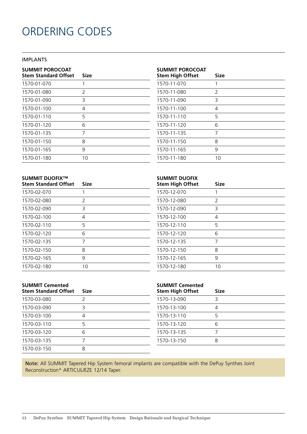# ORDERING CODES

### IMPLANTS

| <b>SUMMIT POROCOAT</b><br><b>Stem Standard Offset</b> | Size          |
|-------------------------------------------------------|---------------|
| 1570-01-070                                           | 1             |
| 1570-01-080                                           | $\mathcal{P}$ |
| 1570-01-090                                           | 3             |
| 1570-01-100                                           | 4             |
| 1570-01-110                                           | 5             |
| 1570-01-120                                           | 6             |
| 1570-01-135                                           | 7             |
| 1570-01-150                                           | 8             |
| 1570-01-165                                           | 9             |
| 1570-01-180                                           | 10            |

### **SUMMIT POROCOAT**

| <b>Stem High Offset</b> | <b>Size</b> |
|-------------------------|-------------|
| 1570-11-070             |             |
| 1570-11-080             | 2           |
| 1570-11-090             | 3           |
| 1570-11-100             | 4           |
| 1570-11-110             | 5           |
| 1570-11-120             | 6           |
| 1570-11-135             | 7           |
| 1570-11-150             | 8           |
| 1570-11-165             | 9           |
| 1570-11-180             | 10          |

#### **SUMMIT DUOFIX™ Stem Standard Offset Size**

| 1570-02-070 | 1            |
|-------------|--------------|
| 1570-02-080 | <sup>2</sup> |
| 1570-02-090 | 3            |
| 1570-02-100 | 4            |
| 1570-02-110 | 5            |
| 1570-02-120 | 6            |
| 1570-02-135 | 7            |
| 1570-02-150 | 8            |
| 1570-02-165 | 9            |
| 1570-02-180 | 10           |

| <b>SUMMIT DUOFIX</b><br><b>Stem High Offset</b> | Size |
|-------------------------------------------------|------|
| 1570-12-070                                     | 1    |
| 1570-12-080                                     | 2    |
| 1570-12-090                                     | 3    |
| 1570-12-100                                     | 4    |
| 1570-12-110                                     | 5    |
| 1570-12-120                                     | 6    |
| 1570-12-135                                     | 7    |
| 1570-12-150                                     | 8    |
| 1570-12-165                                     | 9    |
| 1570-12-180                                     | 10   |

| <b>SUMMIT Cemented</b><br><b>Stem Standard Offset</b> | Size |
|-------------------------------------------------------|------|
| 1570-03-080                                           | 2    |
| 1570-03-090                                           | 3    |
| 1570-03-100                                           | 4    |
| 1570-03-110                                           | 5    |
| 1570-03-120                                           | 6    |
| 1570-03-135                                           | 7    |
| 1570-03-150                                           | 8    |

### **SUMMIT Cemented**

Note: All SUMMIT Tapered Hip System femoral implants are compatible with the DePuy Synthes Joint Reconstruction\* ARTICUL/EZE 12/14 Taper.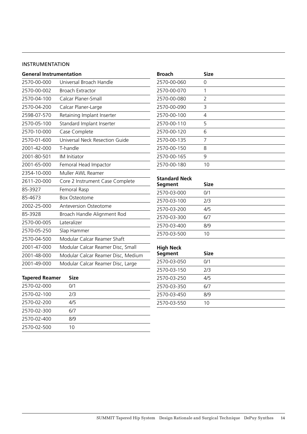#### INSTRUMENTATION

| <b>General Instrumentation</b> |                                    |
|--------------------------------|------------------------------------|
| 2570-00-000                    | Universal Broach Handle            |
| 2570-00-002                    | <b>Broach Extractor</b>            |
| 2570-04-100                    | Calcar Planer-Small                |
| 2570-04-200                    | Calcar Planer-Large                |
| 2598-07-570                    | Retaining Implant Inserter         |
| 2570-05-100                    | Standard Implant Inserter          |
| 2570-10-000                    | Case Complete                      |
| 2570-01-600                    | Universal Neck Resection Guide     |
| 2001-42-000                    | T-handle                           |
| 2001-80-501                    | <b>IM</b> Initiator                |
| 2001-65-000                    | Femoral Head Impactor              |
| 2354-10-000                    | Muller AWL Reamer                  |
| 2611-20-000                    | Core 2 Instrument Case Complete    |
| 85-3927                        | Femoral Rasp                       |
| 85-4673                        | <b>Box Osteotome</b>               |
| 2002-25-000                    | Anteversion Osteotome              |
| 85-3928                        | Broach Handle Alignment Rod        |
| 2570-00-005                    | Lateralizer                        |
| 2570-05-250                    | Slap Hammer                        |
| 2570-04-500                    | Modular Calcar Reamer Shaft        |
| 2001-47-000                    | Modular Calcar Reamer Disc, Small  |
| 2001-48-000                    | Modular Calcar Reamer Disc, Medium |
| 2001-49-000                    | Modular Calcar Reamer Disc, Large  |
|                                |                                    |

| <b>Tapered Reamer</b> | <b>Size</b> |  |
|-----------------------|-------------|--|
| 2570-02-000           | 0/1         |  |
| 2570-02-100           | 7/3         |  |
| 2570-02-200           | 4/5         |  |
| 2570-02-300           | 6/7         |  |
| 2570-02-400           | 8/9         |  |
| 2570-02-500           | 10          |  |

| <b>Broach</b> | <b>Size</b> |
|---------------|-------------|
| 2570-00-060   | 0           |
| 2570-00-070   | 1           |
| 2570-00-080   | 2           |
| 2570-00-090   | 3           |
| 2570-00-100   | 4           |
| 2570-00-110   | 5           |
| 2570-00-120   | 6           |
| 2570-00-135   | 7           |
| 2570-00-150   | 8           |
| 2570-00-165   | 9           |
| 2570-00-180   | 10          |

### **Standard Neck**

 $\overline{\phantom{a}}$ 

| Segment     | <b>Size</b> |  |
|-------------|-------------|--|
| 2570-03-000 | 0/1         |  |
| 2570-03-100 | 7/3         |  |
| 2570-03-200 | 4/5         |  |
| 2570-03-300 | 6/7         |  |
| 2570-03-400 | 8/9         |  |
| 2570-03-500 | 10          |  |

### **High Neck**

| Segment     | <b>Size</b> |  |
|-------------|-------------|--|
| 2570-03-050 | 0/1         |  |
| 2570-03-150 | 7/3         |  |
| 2570-03-250 | 4/5         |  |
| 2570-03-350 | 6/7         |  |
| 2570-03-450 | 8/9         |  |
| 2570-03-550 | 10          |  |